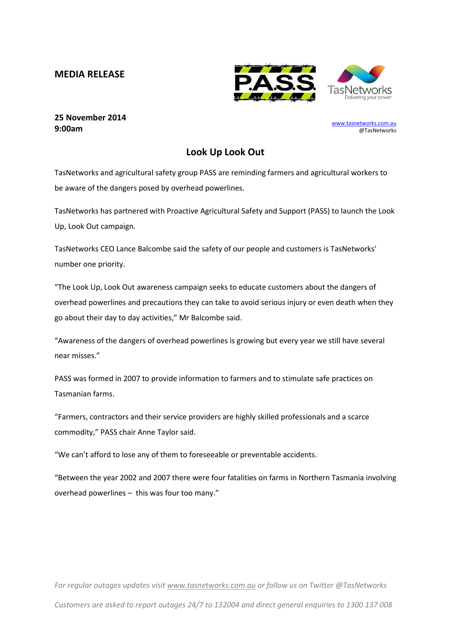## **MEDIA RELEASE**



## **25 November 2014 9:00am**

[www.tasnetworks.com.au](http://www.tasnetworks.com.au/) @TasNetworks

## **Look Up Look Out**

TasNetworks and agricultural safety group PASS are reminding farmers and agricultural workers to be aware of the dangers posed by overhead powerlines.

TasNetworks has partnered with Proactive Agricultural Safety and Support (PASS) to launch the Look Up, Look Out campaign.

TasNetworks CEO Lance Balcombe said the safety of our people and customers is TasNetworks' number one priority.

"The Look Up, Look Out awareness campaign seeks to educate customers about the dangers of overhead powerlines and precautions they can take to avoid serious injury or even death when they go about their day to day activities," Mr Balcombe said.

"Awareness of the dangers of overhead powerlines is growing but every year we still have several near misses."

PASS was formed in 2007 to provide information to farmers and to stimulate safe practices on Tasmanian farms.

"Farmers, contractors and their service providers are highly skilled professionals and a scarce commodity," PASS chair Anne Taylor said.

"We can't afford to lose any of them to foreseeable or preventable accidents.

"Between the year 2002 and 2007 there were four fatalities on farms in Northern Tasmania involving overhead powerlines – this was four too many."

*For regular outages updates visit [www.tasnetworks.com.au](http://www.tasnetworks.com.au/) or follow us on Twitter @TasNetworks Customers are asked to report outages 24/7 to 132004 and direct general enquiries to 1300 137 008*